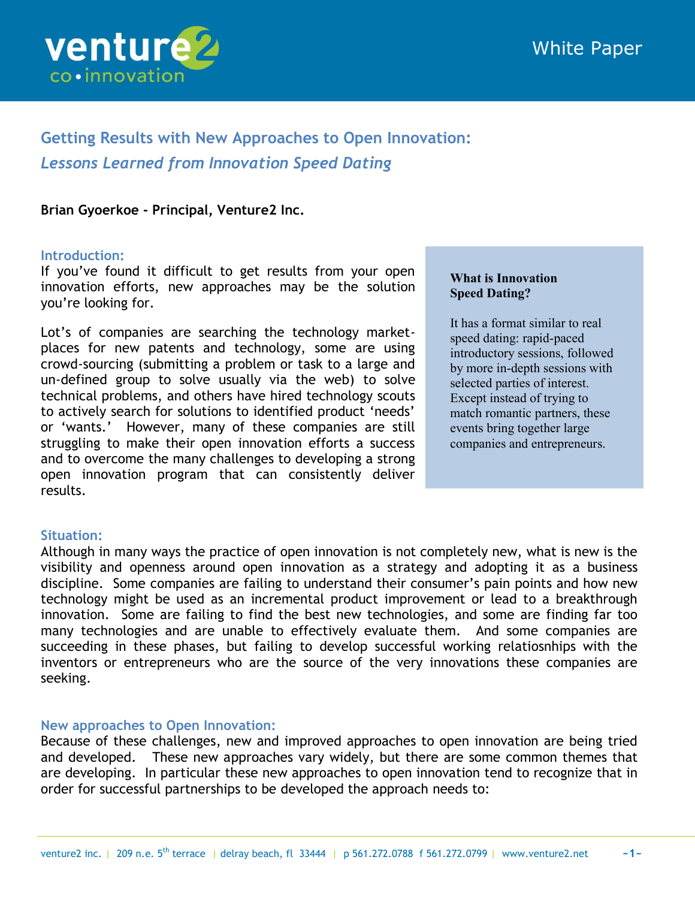

# **Getting Results with New Approaches to Open Innovation:** *Lessons Learned from Innovation Speed Dating*

## **Brian Gyoerkoe - Principal, Venture2 Inc.**

#### **Introduction:**

If you"ve found it difficult to get results from your open innovation efforts, new approaches may be the solution you"re looking for.

Lot"s of companies are searching the technology marketplaces for new patents and technology, some are using crowd-sourcing (submitting a problem or task to a large and un-defined group to solve usually via the web) to solve technical problems, and others have hired technology scouts to actively search for solutions to identified product "needs" or "wants." However, many of these companies are still struggling to make their open innovation efforts a success and to overcome the many challenges to developing a strong open innovation program that can consistently deliver results.

### **What is Innovation Speed Dating?**

It has a format similar to real speed dating: rapid-paced introductory sessions, followed by more in-depth sessions with selected parties of interest. Except instead of trying to match romantic partners, these events bring together large companies and entrepreneurs.

## **Situation:**

j

Although in many ways the practice of open innovation is not completely new, what is new is the visibility and openness around open innovation as a strategy and adopting it as a business discipline. Some companies are failing to understand their consumer's pain points and how new technology might be used as an incremental product improvement or lead to a breakthrough innovation. Some are failing to find the best new technologies, and some are finding far too many technologies and are unable to effectively evaluate them. And some companies are succeeding in these phases, but failing to develop successful working relatiosnhips with the inventors or entrepreneurs who are the source of the very innovations these companies are seeking.

### **New approaches to Open Innovation:**

Because of these challenges, new and improved approaches to open innovation are being tried and developed. These new approaches vary widely, but there are some common themes that are developing. In particular these new approaches to open innovation tend to recognize that in order for successful partnerships to be developed the approach needs to: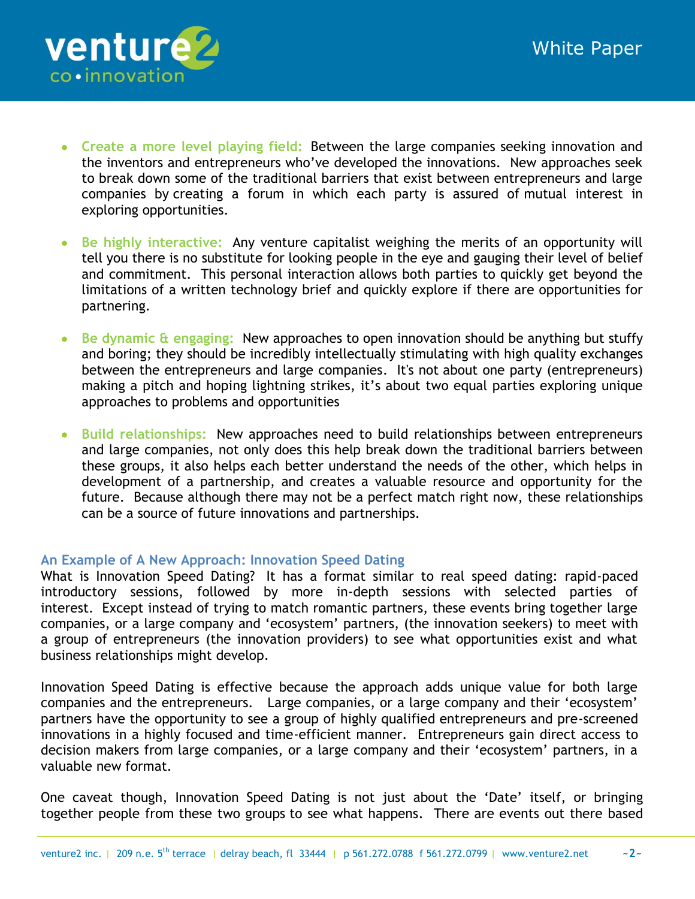- **Create a more level playing field:** Between the large companies seeking innovation and the inventors and entrepreneurs who"ve developed the innovations. New approaches seek to break down some of the traditional barriers that exist between entrepreneurs and large companies by creating a forum in which each party is assured of mutual interest in exploring opportunities.
- **Be highly interactive:** Any venture capitalist weighing the merits of an opportunity will tell you there is no substitute for looking people in the eye and gauging their level of belief and commitment. This personal interaction allows both parties to quickly get beyond the limitations of a written technology brief and quickly explore if there are opportunities for partnering.
- **Be dynamic & engaging:** New approaches to open innovation should be anything but stuffy and boring; they should be incredibly intellectually stimulating with high quality exchanges between the entrepreneurs and large companies. It's not about one party (entrepreneurs) making a pitch and hoping lightning strikes, it"s about two equal parties exploring unique approaches to problems and opportunities
- **Build relationships:** New approaches need to build relationships between entrepreneurs and large companies, not only does this help break down the traditional barriers between these groups, it also helps each better understand the needs of the other, which helps in development of a partnership, and creates a valuable resource and opportunity for the future. Because although there may not be a perfect match right now, these relationships can be a source of future innovations and partnerships.

## **An Example of A New Approach: Innovation Speed Dating**

j

What is Innovation Speed Dating? It has a format similar to real speed dating: rapid-paced introductory sessions, followed by more in-depth sessions with selected parties of interest. Except instead of trying to match romantic partners, these events bring together large companies, or a large company and "ecosystem" partners, (the innovation seekers) to meet with a group of entrepreneurs (the innovation providers) to see what opportunities exist and what business relationships might develop.

Innovation Speed Dating is effective because the approach adds unique value for both large companies and the entrepreneurs. Large companies, or a large company and their "ecosystem" partners have the opportunity to see a group of highly qualified entrepreneurs and pre-screened innovations in a highly focused and time-efficient manner. Entrepreneurs gain direct access to decision makers from large companies, or a large company and their "ecosystem" partners, in a valuable new format.

One caveat though, Innovation Speed Dating is not just about the 'Date' itself, or bringing together people from these two groups to see what happens. There are events out there based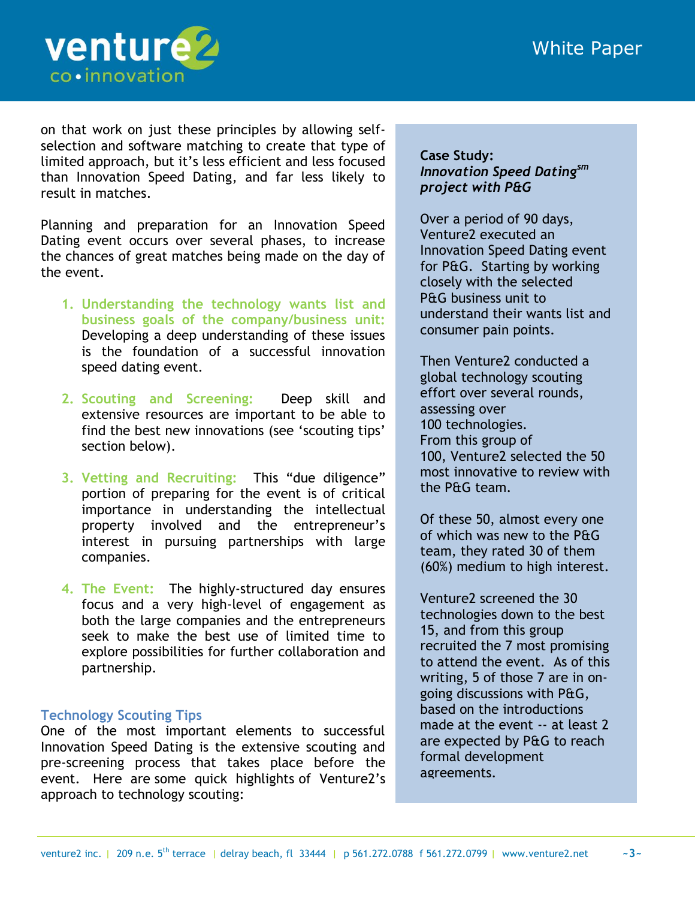# White Paper



on that work on just these principles by allowing selfselection and software matching to create that type of limited approach, but it"s less efficient and less focused than Innovation Speed Dating, and far less likely to result in matches.

Planning and preparation for an Innovation Speed Dating event occurs over several phases, to increase the chances of great matches being made on the day of the event.

- **1. Understanding the technology wants list and business goals of the company/business unit:**  Developing a deep understanding of these issues is the foundation of a successful innovation speed dating event.
- **2. Scouting and Screening:** Deep skill and extensive resources are important to be able to find the best new innovations (see 'scouting tips' section below).
- **3. Vetting and Recruiting:** This "due diligence" portion of preparing for the event is of critical importance in understanding the intellectual property involved and the entrepreneur"s interest in pursuing partnerships with large companies.
- **4. The Event:** The highly-structured day ensures focus and a very high-level of engagement as both the large companies and the entrepreneurs seek to make the best use of limited time to explore possibilities for further collaboration and partnership.

## **Technology Scouting Tips**

One of the most important elements to successful Innovation Speed Dating is the extensive scouting and pre-screening process that takes place before the event. Here are some quick highlights of Venture2"s approach to technology scouting:

## **Case Study:** *Innovation Speed Datingsm project with P&G*

Over a period of 90 days, Venture2 executed an Innovation Speed Dating event for P&G. Starting by working closely with the selected P&G business unit to understand their wants list and consumer pain points.

Then Venture2 conducted a global technology scouting effort over several rounds, assessing over 100 technologies. From this group of 100, Venture2 selected the 50 most innovative to review with the P&G team.

Of these 50, almost every one of which was new to the P&G team, they rated 30 of them (60%) medium to high interest.

Venture2 screened the 30 technologies down to the best 15, and from this group recruited the 7 most promising to attend the event. As of this writing, 5 of those 7 are in ongoing discussions with P&G, based on the introductions made at the event -- at least 2 are expected by P&G to reach formal development agreements.